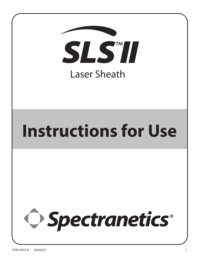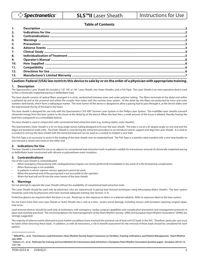# **Table of Contents**

| $\mathbf{1}$ . |  |
|----------------|--|
| 2.             |  |
| 3 <sub>1</sub> |  |
| 4.             |  |
| 5.             |  |
| 6.             |  |
| 7.             |  |
| 8.             |  |
| 9.             |  |
| 10.            |  |
| 11.            |  |
| 12.            |  |
| 13.            |  |

# **Caution: Federal (USA) law restricts this device to sale by or on the order of a physician with appropriate training.**

### **1. Description**

The Spectranetics Laser Sheath Kit includes a 12F, 14F, or 16F Laser Sheath, two Outer Sheaths, and a Fish Tape. The Laser Sheath is an intra-operative device used to free a chronically implanted pacing or defibrillator lead.

The laser sheath consists of optical fibers arranged in a circle, sandwiched between inner and outer polymer tubing. The fibers terminate at the distal end within a polished tip and at the proximal end within the coupler that mates with the excimer laser system. At the distal tip, the fibers are protected by inner and outer stainless steel bands, which form a radiopaque marker. The inner lumen of the device is designed to allow a pacing lead to pass through it, as the device slides over the lead towards the tip of the lead in the heart.

The laser sheath is designed for use only with the Spectranetics CVX-300® Excimer Laser System or the Philips Laser System. The multifiber laser sheaths transmit ultraviolet energy from the laser system to the tissue at the distal tip of the device. When the laser fires, a small amount of the tissue is ablated, thereby freeing the lead from overgrowth in a controllable fashion.

The laser sheath is used in conjunction with conventional lead extraction tools (e.g., locking stylets, outer sheaths).

The Spectranetics Outer Sheath is a 43 cm long single-lumen tubing designed to fit over the laser sheath. The tube is cut at a 45-degree angle on one end and the edges are beveled on both ends. The Outer Sheath is used during the extraction procedure as an introducer and to support and align the Laser Sheath. It is used as a conduit to remove the laser sheath with the extracted lead and can be used as a conduit to implant a new lead.

The Fish Tape is an accessory to assist in the loading of the laser sheath over an implanted lead. The Fish Tape is a stainless steel mandrel with a wire loop handle on one end and a closed wire hook on the other end.

# **2. Indications for Use**

The laser sheath is intended for use as an adjunct to conventional lead extraction tools in patients suitable for transvenous removal of chronically implanted pacing or defibrillator leads constructed with silicone or polyurethane outer insulation.

# **3. Contraindications**

Use of the Laser Sheath is contraindicated:

- When emergency thoracotomy with cardiopulmonary bypass can not be performed immediately in the event of a life threatening complication;
- When fluoroscopy is not available;
- In patients in whom superior venous approach cannot be used;
- When the proximal end of the pacing lead is not accessible to the operator;
- When the lead will not fit into the inner lumen of the laser sheath.

#### **4. Warnings**

Do not attempt to operate the Laser Sheath without the availability of conventional lead extraction tools.

The Laser Sheath should be used only by physicians who are experienced in pacing lead removal techniques using telescoping dilator sheaths. The laser system should be used only by physicians who have received adequate training (See Section 12.3).

Protective glasses are required when the laser is in use. Avoid eye or skin exposure to direct or scattered radiation. Refer to exposure label on the laser system.

Do not insert more than one Laser Sheath or Outer Sheath into a vein at a time. Severe vessel damage, including venous wall laceration requiring surgical repair, may occur.

Lead removal devices should be used only at institutions with emergency cardiac surgical capabilities and complication prevention and management protocols in place and routinely practiced. The recommendations for lead management of the Heart Rhythm Society' (HRS) and European Heart Rhythm Association<sup>2</sup> (EHRA) are strongly suggested.

The majority of adverse events observed in post market surveillance have involved the proximal coil of dual coil ICD leads in the SVC. Therefore, particular care must be taken when removing these leads. In addition, as with all extractions, a risk to benefit assessment for the removal of these leads should be considered for each patient.

<sup>1</sup> **Wilkoff B.L., et al. Transvenous Lead Extraction: Heart Rhythm Society Expert Consensus on Facilities, Training, Indications, and Patient Management. Heart Rhythm. July 2009.**

**<sup>2</sup> Deharo J.C., et al. Pathways for training and accreditation for transvenous lead extraction: a European Heart Rhythm Association position paper. Europace (2012) 14, 124-134.**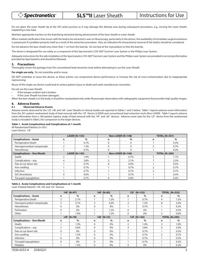# $\triangleright$  Spectranetics $\triangle$

**SLS™II** Laser Sheath Instructions for Use

Do not place the outer sheath tip at the SVC-atrial junction as it may damage this delicate area during subsequent procedures, e.g., moving the outer sheath, implanting a new lead.

Maintain appropriate traction on the lead being extracted during advancement of the laser sheath or outer sheath.

When marked calcification that moves with the lead to be extracted is seen on fluoroscopy, particularly in the atrium, the availability of immediate surgical assistance is paramount if a problem presents itself as a result of the extraction procedure. Also, an indication for thoracotomy removal of the lead(s) should be considered.

Do not advance the laser sheath any closer than 1 cm from the lead tip. Do not lase at the myocardium to free the lead tip.

This device is designated for use solely as a component of the Spectranetics CVX-300® Excimer Laser System or the Philips Laser System.

Adequate instructions for the safe installation of the Spectranetics CVX-300® Excimer Laser System and the Philips Laser System are provided in servicing information provided by Spectranetics and should be followed.

#### **5. Precautions**

Thoroughly review the package insert for conventional lead extraction tools before attempting to use the Laser Sheath.

**For single use only.** Do not resterilize and/or reuse.

DO NOT resterilize or reuse this device, as these actions can compromise device performance or increase the risk of cross-contamination due to inappropriate reprocessing.

Reuse of this single use device could lead to serious patient injury or death and voids manufacturer warranties.

Do not use the Laser Sheath:

- If the tamper-evident seal is broken;
- If the Laser Sheath has been damaged.

When the laser sheath is in the body, it should be manipulated only under fluoroscopic observation with radiographic equipment that provides high quality images.

#### **6. Adverse Events**

#### **6.1 Observed Adverse Events**

Adverse events observed for the 12F, 14F, and 16F Laser Sheaths in clinical studies are reported in Tables 1 and 2 below. Table 1 reports adverse event information from the 301-patient randomized study of lead removal with the 12F Device (LASER) and conventional lead extraction tools (Non-LASER). Table 2 reports adverse event information from a 180-patient registry study of lead removal with the 14F and 16F devices. Adverse event rates for the 12F device from the randomized study is included in Table 2 for comparison to the larger devices.

#### **Table 1. Acute Complications and Complications at 1-month**

All Randomized Patients (n=301) Laser Device: 12F

|                                  | LASER $(N=153)$ |                 | Non-LASER (N=148) |                       | <b>TOTAL (N=301)</b> |                 |
|----------------------------------|-----------------|-----------------|-------------------|-----------------------|----------------------|-----------------|
| <b>Complications - Acute</b>     | n               | $\%$            | n                 | $\%$                  | n                    | $\%$            |
| Perioperative Death              |                 | $0.7\%$         |                   |                       |                      | 0.3%            |
| Hemopericardium tamponade        |                 | $1.3\%$         |                   |                       |                      | $0.7\%$         |
| Hemothorax                       |                 | $0.7\%$         |                   |                       |                      | 0.3%            |
| <b>Complications - One Month</b> |                 | LASER $(N=145)$ |                   | Non-LASER ( $N=140$ ) |                      | $TOTAL (N=285)$ |
| Death                            |                 | $1.4\%$         |                   | $0.7\%$               |                      | 1.1%            |
| Complications - any              |                 | 2.8%            |                   | $2.1\%$               |                      | 2.5%            |
| Pain at cut-down site            |                 | $0.7\%$         |                   | $0.0\%$               |                      | 0.4%            |
| Arm swelling                     |                 | $0.7\%$         |                   | $0.7\%$               |                      | $0.7\%$         |
| Infection                        |                 | $0.7\%$         |                   | $0.7\%$               |                      | $0.7\%$         |
| SVC thrombosis                   | $\Omega$        | $0.0\%$         |                   | $0.7\%$               |                      | $0.4\%$         |
| Tricuspid regurgitation          |                 | $0.7\%$         |                   | $0.0\%$               |                      | 0.4%            |

#### **Table 2. Acute Complications and Complications at 1-month** Laser-Treated Patients: 14F, 16F, and 12F Devices

|                                  |                          | $14F (N=97)$ | $16F (N=83)$ |         | $12F (N=153)$  |         | <b>TOTAL (N=333)</b> |      |
|----------------------------------|--------------------------|--------------|--------------|---------|----------------|---------|----------------------|------|
| <b>Complications - Acute</b>     | n                        | $\%$         | n            | $\%$    | n              | $\%$    | n                    | $\%$ |
| Perioperative Death              | $\overline{2}$           | 2.1%         |              | $1.2\%$ |                | $0.7\%$ | 4                    | 1.2% |
| Hemopericardium tamponade        | 3                        | 3.1%         | 3            | 3.6%    | 2              | 1.3%    | 8                    | 2.4% |
| Hemothorax                       | 0                        | 0%           | 0            | 0%      |                | $0.7\%$ |                      | 0.3% |
| Perforation                      | $\Omega$                 | $0\%$        |              | $1.2\%$ | $\Omega$       | $0\%$   |                      | 0.3% |
| Other                            |                          | 1.0%         |              | 1.2%    | $\Omega$       | $0\%$   | $\mathfrak{p}$       | 0.6% |
|                                  | 14F (N=78)               |              | $16F (N=72)$ |         | 12F (N=145)    |         | <b>TOTAL (N=295)</b> |      |
| <b>Complications - One Month</b> | n                        | $\%$         | n            | $\%$    | n              | $\%$    | n                    | $\%$ |
| Death                            |                          | $1.3\%$      | $\Omega$     | 0%      | $\overline{2}$ | 1.4%    | 3                    | 1.0% |
| Complications - any              | $\overline{\phantom{0}}$ | 2.6%         | $\Omega$     | 0%      | 4              | 2.8%    | 6                    | 2.0% |
| Pain at cut-down site            | $\Omega$                 | 0%           | 0            | 0%      |                | $0.7\%$ |                      | 0.3% |
| Arm swelling                     |                          | $1.3\%$      | $\Omega$     | 0%      |                | $0.7\%$ | っ                    | 0.7% |
| Infection                        | 0                        | $0\%$        | 0            | 0%      |                | $0.7\%$ |                      | 0.3% |
| Tricuspid regurgitation          | 0                        | 0%           | 0            | 0%      |                | $0.7\%$ |                      | 0.3% |
| Phlebitis                        |                          | $1.3\%$      | $\Omega$     | 0%      | $\Omega$       | 0%      |                      | 0.3% |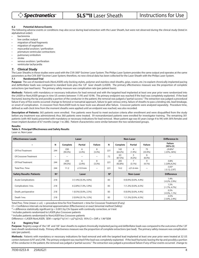#### **6.2 Potential Adverse Events**

The following adverse events or conditions may also occur during lead extraction with the Laser Sheath, but were not observed during the clinical study (listed in alphabetical order):

- bacteremia
- low cardiac output
- migration of lead fragments
- migration of vegetation
- myocardial avulsion / perforation
- premature ventricular contractions
- pulmonary embolism
- **stroke**
- venous avulsion / perforation
- ventricular tachycardia

#### **7. Clinical Study**

The Laser Sheaths in these studies were used with the CVX-300® Excimer Laser System. The Philips Laser System provides the same output and operates at the same parameters as the CVX-300® Excimer Laser System; therefore, no new clinical data has been collected for the Laser Sheath with the Philips Laser System.

#### **7.1 Randomized Trial**

Purpose: The use of standard tools (NonLASER) only (locking stylets, polymer and stainless steel sheaths, grips, snares, etc.) to explant chronically implanted pacing and defibrillator leads was compared to standard tools plus the 12F laser sheath (LASER). The primary effectiveness measure was the proportion of complete extractions (per lead basis). The primary safety measure was complication rate (per patient basis).

**Methods:** Patients with mandatory or necessary indications for lead removal and with the targeted lead implanted at least one year prior were randomized into the LASER or NonLASER groups in nine US centers between 11/95 and 10/96. The primary endpoint was reached if the lead was completely explanted. If the lead fractured, leaving the tip and possibly a portion of the conductor in the patient, the removal was judged a "partial success." The extraction was judged a procedural failure if any of five events occurred: change to femoral or transatrial approach, failure to gain venous entry, failure of sheaths to pass a binding site, lead breakage, or onset of complication. A crossover from NonLASER tools to laser tools was allowed after failure. Crossover patients were analyzed separately. Procedure time, defined as wall-clock time from the moment sheaths were applied until an endpoint was reached, was also recorded.

**Description of Patients:** 365 patients were enrolled. Five patients were found to meet exclusion criteria after enrollment and were disqualified from the study before any treatment was administered; thus 360 patients were treated. 59 nonrandomized patients were enrolled for investigator training. The remaining 301 patients (with 465 leads) presented with mandatory or necessary indications for lead removal. Mean patient age was 65 years (range 4 to 94) with 36% females and mean implant duration of 67 months (range 1 to 286). Patient characteristics were similar between the two randomized groups.

#### **Results:**

#### **Table 3. Principal Effectiveness and Safety Results**  Laser vs. Non-Laser

| <b>Effectiveness: Leads</b>     |                | Laser                 |                       |                |                         |                   | <b>Non-Laser</b>            | Difference In             |                                 |
|---------------------------------|----------------|-----------------------|-----------------------|----------------|-------------------------|-------------------|-----------------------------|---------------------------|---------------------------------|
| $\tilde{}$                      | N              | Complete              | <b>Partial</b>        | <b>Failure</b> | N                       | Complete          | <b>Partial</b>              | <b>Failure</b>            | <b>Failure</b><br>[95% CI]      |
| Of First Treatment              | 244            | 230<br>$(94.3\%)$     | 6<br>(2.4%)           | 8<br>$(3.3\%)$ | 221                     | 142<br>$(64.2\%)$ | 4<br>(1.9%)                 | 75<br>(33.9%)             | $-29.8\%$ *<br>$[-23\%, -36\%]$ |
| Of Crossover Treatment          | $\tilde{}$     | $\tilde{}$            | $\sim$                | $\sim$         | 72                      | 63<br>(87.5%)     | 3<br>$(4.2\%)$              | 6<br>$(8.3\%)$            | $\tilde{}$                      |
| Of Final Treatment              | 244            | 230<br>$(94.3\%)$     | 6<br>$(2.4\%)$        | 8<br>$(3.3\%)$ | 221                     | 205<br>$(92.8\%)$ | $\overline{7}$<br>$(3.1\%)$ | 9<br>$(4.1\%)$            | $-0.8%$<br>$[-2.8\%, 4.2\%]$    |
| <b>Total Proc. Time</b>         | 244            | 11.2                  | $±13.9$ min           | $\sim$         | 221                     | 14.2              | $\pm$ 21.6 min              | $\sim$                    | $-3.05*$<br>$[-3.12,-2.97]$     |
| <b>Safety Results: Patients</b> | N <sup>a</sup> |                       | Laser                 |                | N <sub>b</sub>          |                   | <b>Non-Laser</b>            |                           | <b>Difference</b>               |
| <b>Acute Complications</b>      | 218            |                       | 3 (1.4%) [0.3%, 4.0%] |                | 83                      |                   | $0(0.0\%)$ [0.0%, 4.4%]     |                           | 1.4%<br>$[-0.2\%, 2.9\%]$       |
| Complications 1mo.              | 218            | 6 (2.8%) [1.0%, 5.9%] |                       | 83             | 1 (1.2%) [0.0%, 6.5%]   |                   |                             | 1.5%<br>$[-1.7\%, 4.7\%]$ |                                 |
| Death, perioperative            | 218            | 1 (0.5%) [0.0%, 2.5%] |                       | 83             | $0(0.0\%)$ [0.0%, 4.4%] |                   |                             | 0.5%<br>$[-0.3\%, 1.1\%]$ |                                 |
| Death 1mo.                      | 218            |                       | 2 (0.9%) [0.1%, 3.3%] |                | 83                      |                   | 1 (1.2%) [0.0%, 6.5%]       |                           | $-0.3%$<br>$[-3.0\%, 2.4\%]$    |

Total Proc. Time (mean  $\pm$  s.d.) = procedure time for First Treatment + time for Crossover Treatment (if any)

CI = Confidence intervals via binomial approximation (Effectiveness) or exact binomial method (Safety)

\* = difference statistically significant (p < 0.001) by Chi-Square with continuity correction, or t-test

<sup>a</sup> includes patients randomized to LASER plus Crossover patients

**bincludes patients randomized to NonLASER less Crossover patients** 

Difference = LASER-NonLASER; SEM = sqrt(p1\*q1/n1 + p2\*q2/n2); 95% CI = Diff  $\pm$  1.96\*SEM

#### **7.2 Registry Trial**

**Purpose:** Registry usage of the 14F and 16F laser sheaths to explant chronically implanted pacing and defibrillator leads was compared to the outcomes of the 12F laser sheath randomized study. Primary effectiveness measure was the proportion of complete extractions (per lead). The primary safety measure was complication rate (per patient).

**Methods:** Patients with mandatory or necessary indications for lead removal and with the targeted lead implanted at least one year prior were treated at 32 US centers between 6/97 and 2/98. The primary endpoint was reached if the lead was completely explanted. If the lead fractured, leaving the tip and possibly a portion of the conductor in the patient, the removal was judged a "partial success." The extraction was judged a procedural failure if any of four events occurred: change to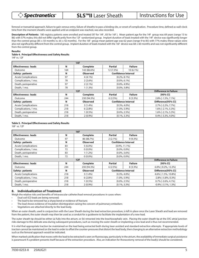femoral or transatrial approach, failure to gain venous entry, failure of sheaths to pass a binding site, or onset of complication. Procedure time, defined as wall-clock time from the moment sheaths were applied until an endpoint was reached, was also recorded.

**Description of Patients:** 180 registry patients were enrolled and treated (97 for 14F , 83 for 16F ). Mean patient age for the 14F group was 69 years (range 13 to 86) with 57% males; this did not differ significantly from the 12F randomized group. Implant duration of leads treated with the 14F device was significantly longer than the control group (85 ± 50 months vs. 65 ± 42 months). For the 16F group mean patient age was 62 years (range 9 to 85) with 77% males; these values were also not significantly different from the control group. Implant duration of leads treated with the 16F device was 68 ± 60 months and was not significantly different from the control group.

#### **Results:**

#### **Table 4. Principal Effectiveness and Safety Results**

14F vs. 12F

| <b>Effectiveness: leads</b> | N                            | <b>Complete</b> | <b>Partial</b>   | <b>Failure</b>             |                       |
|-----------------------------|------------------------------|-----------------|------------------|----------------------------|-----------------------|
| Outcome                     | 164                          | 142 (86.6%)     | 12 (7.3%)        | $10(6.1\%)$                |                       |
| Safety: patients            | N                            | <b>Observed</b> |                  | <b>Confidence Interval</b> |                       |
| <b>Acute Complications</b>  | 97                           | $4(4.1\%)$      |                  | $[0.2\%, 8.1\%]$           |                       |
| Complications, 1 mo.        | 78                           | $2(2.6\%)$      |                  | $[0.0\%, 6.1\%]$           |                       |
| Death, perioperative        | 97                           | $2(2.1\%)$      |                  | $[0.0\%, 4.9\%]$           |                       |
| Death, 1 mo.                | 78                           | $1(1.3\%)$      | $[0.0\%, 3.8\%]$ |                            |                       |
|                             | <b>Difference in Failure</b> |                 |                  |                            |                       |
| <b>Effectiveness: leads</b> | N                            | <b>Complete</b> | <b>Partial</b>   | <b>Failure</b>             | [95% CI]              |
| Outcome                     | 244                          | 230 (94.3%)     | 6(2.5%)          | $8(3.3\%)$                 | 2.8% [-1.5%, 7.1%]    |
| Safety: patients            | N                            | <b>Observed</b> |                  | <b>Confidence Interval</b> | Difference[95% CI]    |
| <b>Acute Complications</b>  | 218                          | $3(1.4\%)$      | $[0.3\%, 4.0\%]$ |                            | 2.7% [-2.2%, 7.7%]    |
| Complications, 1 mo.        | 218                          | $6(2.8\%)$      | $[1.0\%, 5.9\%]$ |                            | 1.6% [-2.1%, 5.3%]    |
| Death, perioperative        | 218                          | $1(0.5\%)$      | $[0.0\%, 2.5\%]$ |                            | 1.6% [-2.1%, 5.3%]    |
| Death, 1 mo.                | 218                          | $2(0.9\%)$      |                  | $[0.1\%, 3.3\%]$           | $0.4\%$ [-3.3%, 4.0%] |

#### **Table 5. Principal Effectiveness and Safety Results**

16F vs. 12F

| <b>Effectiveness: leads</b> | N   | <b>Complete</b> | Partial          | <b>Failure</b>             |                             |
|-----------------------------|-----|-----------------|------------------|----------------------------|-----------------------------|
| Outcome                     | 97  | 86 (88.7%)      | $2(2.1\%)$       | $9(9.3\%)$                 |                             |
| Safety: patients            | N   | <b>Observed</b> |                  | <b>Confidence Interval</b> |                             |
| <b>Acute Complications</b>  | 83  | $5(6.0\%)$      |                  | $[0.9\%, 11.1\%]$          |                             |
| Complications, 1 mo.        | 72  | $0(0.0\%)$      |                  | $[0.0\%, 0.0\%]$           |                             |
| Death, perioperative        | 83  | $1(1.2\%)$      |                  | $[0.0\%, 3.6\%]$           |                             |
| Death, 1 mo.                | 72  | $0(0.0\%)$      | $[0.0\%, 0.0\%]$ |                            |                             |
|                             | 12F |                 |                  |                            |                             |
| <b>Effectiveness: leads</b> | N   | <b>Complete</b> | Partial          | <b>Failure</b>             | [95% CI]                    |
| Outcome                     | 244 | 230 (94.3%)     | $6(2.5\%)$       | $8(3.3\%)$                 | $6.0\%$ [-0.2%, 12.2%]      |
| Safety: patients            | N   | <b>Observed</b> |                  | <b>Confidence Interval</b> | Difference[95% CI]          |
| <b>Acute Complications</b>  | 218 | $3(1.4\%)$      |                  | $[0.3\%, 4.0\%]$           | 4.6% [-1.5%, 10.8%]         |
| Complications, 1 mo.        | 218 | $6(2.8\%)$      | $[1.0\%, 5.9\%]$ |                            | $-2.8\%$ [ $-5.8\%$ , 0.3%] |
| Death, perioperative        | 218 | $1(0.5\%)$      | $[0.0\%, 2.5\%]$ |                            | $0.7\%$ [-2.6%, 4.1%]       |
| Death, 1 mo.                | 218 | $2(0.9\%)$      |                  | $[0.1\%, 3.3\%]$           | $-0.9\%$ [ $-3.1\%$ , 1.3%] |

#### **8. Individualization of Treatment**

Weigh the relative risks and benefits of intravascular catheter/lead removal procedures in cases when:

- Dual coil ICD leads are being removed;
- The lead to be removed has a sharp bend or evidence of fracture;
- The lead shows evidence of insulation disintegration raising the concern of pulmonary embolism;
- Vegetations are attached directly to the lead body.

When an outer sheath, used in conjunction with the Laser Sheath during the lead extraction procedure, is left in place once the Laser Sheath and lead are removed from the patient, the outer sheath may then be used as a conduit for a guidewire to facilitate the implantation of a new lead.

The outer sheath tip should be either (a) fully into the atrium, or (b) retracted into the brachiocephalic vein. Placing the outer sheath tip at the SVC-atrial junction risks damage to this delicate area during subsequent procedures, such as moving the outer sheath or implanting a new lead and is thus not recommended.

It is vital that appropriate traction be maintained on the lead being extracted both during laser assisted and standard extraction attempts. If appropriate levels of traction cannot be maintained on the lead in order to offset the counter-pressures that distort the lead body, then changing to an alternative extraction methodology such as the femoral approach would be indicated.

When marked calcification that moves with the lead to be extracted is seen on fluoroscopy, particularly in the atrium, the availability of immediate surgical assistance is paramount if a problem presents itself because of the extraction procedure. Also, an indication for thoracotomy removal of the lead(s) should be considered.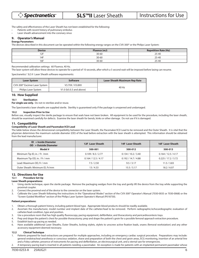The safety and effectiveness of the Laser Sheath has not been established for the following:

Patients with recent history of pulmonary embolus

Laser sheath advancement into the coronary sinus

## **9. Operator's Manual**

**Energy Parameters**

The devices described in this document can be operated within the following energy ranges on the CVX-300® or the Philips Laser System:

| <b>Device</b> | Fluence (mJ) | <b>Repetition Rate (Hz)</b> |  |  |
|---------------|--------------|-----------------------------|--|--|
| 4.25<br>╹∠    | $30 - 60$    | $25 - 40$                   |  |  |
| 14I           | $30 - 60$    | 25-40                       |  |  |
| 16F           | $30 - 60$    | 25-40                       |  |  |

Recommended calibration settings: 60 Fluence, 40 Hz.

The laser system will allow these devices to operate for a period of 10 seconds, after which a 5 second wait will be imposed before lasing can resume.

Spectranetics' SLS II Laser Sheath software requirements:

| <b>Laser System</b>                       | <b>Software</b>           | <b>Laser Sheath Maximum Rep Rate</b> |  |  |
|-------------------------------------------|---------------------------|--------------------------------------|--|--|
| CVX-300 <sup>®</sup> Excimer Laser System | V3.7XX / V3.8XX           |                                      |  |  |
| Philips Laser System                      | $V1.0$ (b5.0.3 and above) | 40 Hz                                |  |  |

#### **10. How Supplied**

#### **10.1 Sterilization**

**For single use only.** Do not re-sterilize and/or reuse.

The Spectranetics laser sheaths are supplied sterile. Sterility is guaranteed only if the package is unopened and undamaged.

#### **10.2 Inspection Prior to Use**

Before use, visually inspect the sterile package to ensure that seals have not been broken. All equipment to be used for the procedure, including the laser sheath, should be examined carefully for defects. Examine the laser sheath for bends, kinks or other damage. Do not use if it is damaged.

#### **11. Compatibility**

#### **Compatibility of Laser Sheath and Pacemaker/ICD Lead**

The table below shows the dimensional compatibility between the Laser Sheath, the Pacemaker/ICD Lead to be removed and the Outer Sheath. It is vital that the physician determines the maximum outside diameter (OD) of the lead before extraction with the laser sheath is attempted. This information should be obtained from the lead manufacturer.

| $ID = Inside Diameter$<br>$OD = Outside Diameter$ | 12F Laser Sheath    | 14F Laser Sheath    | 16F Laser Sheath    |
|---------------------------------------------------|---------------------|---------------------|---------------------|
| Model #                                           | 500-001             | 500-012             | 500-013             |
| Minimum Tip ID, in. / Fr /mm                      | 0.109 / 8.3 / 2.77  | 0.134 / 10.2 / 3.40 | 0.164 / 12.5 / 4.17 |
| Maximum Tip OD, in. / Fr / mm                     | 0.164 / 12.5 / 4.17 | 0.192 / 14.7 / 4.88 | 0.225 / 17.2 / 5.72 |
| Lead: Maximum OD, Fr / mm                         | 7.5/2.50            | 9.5 / 3.17          | 11.5 / 3.83         |
| Outer Sheath: Minimum ID, Fr/mm                   | 13/4.33             | 15.5 / 5.17         | 18.2 / 6.07         |

#### **12. Directions for Use**

#### **12.1 Procedure Set Up**

#### **Laser Sheath preparations:**

- 1. Using sterile technique, open the sterile package. Remove the packaging wedges from the tray and gently lift the device from the tray while supporting the proximal coupler.
- 2. Connect the proximal end of the device to the connector on the laser system.
- 3. Calibrate the Laser Sheath following the instructions in the "Operational Modes" section of the CVX-300® Operator's Manual (7030-0035 or 7030-0068) or the "Screen Guided Workflow" section of the Philips Laser System Operator's Manual (P018730).

#### **Patient preparations:**

- 1. Obtain a thorough patient history, including patient blood type. Appropriate blood products should be readily available.
- 2. Ascertain the manufacturer, model number and implant date of the catheter/lead to be removed. Perform radiographic/echocardiographic evaluation of catheter/lead condition, type and position.
- 3. Use a procedure room that has high quality fluoroscopy, pacing equipment, defibrillator, and thoracotomy and pericardiocentesis trays.
- 4. Prep and drape the patient's chest for possible thoracotomy; prep and drape the patient's groin for a possible femoral approach extraction procedure.
- 5. Establish back-up pacing as needed.
- 6. Have available additional Laser Sheaths, Outer Sheaths, locking stylets, stylets to unscrew active fixation leads, snares (femoral workstation) and any other accessory equipment deemed necessary.

#### **12.2 Clinical Technique**

- 1. Patients prepared for lead extractions are prepared for multiple approaches, including an emergency cardiac surgical procedure. Preparations may include: general endotracheal anesthesia or conscious sedation, shave and preparation of both the chest and groin areas, ECG monitoring, insertion of an arterial line and a Foley catheter, presence of instruments for pacing and defibrillation, an electrosurgical unit, and a sternal saw for emergencies.
- 2. A temporary pacing lead is inserted in all patients needing a pacemaker. An exception is made for patients with an implanted permanent pacemaker whose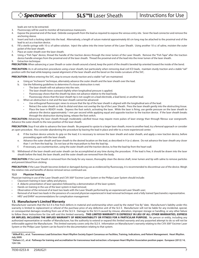**○ Spectranetics** 

leads are not to be extracted.

3. Fluoroscopy will be used to monitor all transvenous maneuvers.

- 4. Expose the proximal end of the lead. Debride overgrowth from the lead as required to expose the venous entry site. Sever the lead connector and remove the anchoring sleeve.
- 5. Insert and lock a locking stylet into the lead. Alternatively, a length of suture material approximately 60 cm long may be attached to the proximal end of the lead to act as a traction device.
- 6. Fill a sterile syringe with 10 cc of saline solution. Inject the saline into the inner lumen of the Laser Sheath. Using another 10 cc of saline, moisten the outer jacket of the laser sheath.
- 7. Place an outer sheath over the laser sheath.
- 8. Using a "Fish Tape" device, thread the handle of the traction device through the inner lumen of the Laser Sheath. Remove the "Fish Tape" after the traction device handle emerges from the proximal end of the laser sheath. Thread the proximal end of the lead into the inner lumen of the laser sheath.
- 9. Extraction technique:

PRECAUTION: When advancing a Laser Sheath or outer sheath around a bend, keep the point of the sheath's beveled tip oriented toward the inside of the bend.

PRECAUTION: As in all extraction procedures using a laser sheath, but particularly when removing dual coil ICD leads, maintain sturdy traction and a stable "rail" position with the lead while keeping coaxial alignment of the laser sheath and the bevel on the inside curvature of the SVC.

**PRECAUTION:** Before entering the SVC, stop to ensure sturdy traction and a stable "rail" are maintained.

- a. Using an "inchworm" technique, alternately advance the outer sheath and the laser sheath over the lead.
- b. Use the following guidelines to determine if a tissue obstruction is met:
	- The laser sheath will not advance into the vein.
	- The laser sheath bows outward slightly when longitudinal pressure is applied.
	- Fluoroscopy shows that the sheath tip does not advance relative to the lead body.
	- Fluoroscopy shows that the laser sheath tip is not caught on a lead electrode, a lead bend, or another lead.
- c. When an obstruction is met and the laser sheath cannot be advanced:
	- Use orthogonal fluoroscopic views to ensure that the tip of the laser sheath is aligned with the longitudinal axis of the lead.
	- Retract the outer sheath so that its distal end does not overlap the tip of the Laser Sheath. Press the laser sheath gently into the obstructing tissue.
	- Place the laser in READY mode. Depress the foot switch, activating the laser. While the laser is firing, use gentle pressure on the laser sheath to advance the device approximately 1 mm per second while applying equal and opposite traction to the traction device. If the laser sheath breaks through the obstruction during lasing, release the foot switch.

**PRECAUTION:** Advancing the laser sheath through moderately calcified tissue may require more pulses of laser energy than through fibrous scar overgrowth. Advance the outer sheath to the new position of the laser sheath.

PRECAUTION: Stop if not able to advance the laser sheath. Be prepared to upsize to a larger laser sheath, move to another lead, try a femoral approach or consider an open procedure. Also consider abandoning the procedure by leaving the lead in place and refer to a more experienced center.

- d. If the traction device unlocks its grip on the lead, it is necessary to remove the laser sheath and outer sheath, and apply a new traction device, before proceeding again with the laser sheath.
- e. Advance the outer sheath and laser sheath to the desired location on the lead, as described in 9 (a-c) above. Do not advance the laser sheath any closer than 1 cm from the lead tip. Do not lase at the myocardium to free the lead tip.
- f. If necessary, use countertraction, using the outer sheath and the traction device, to free the lead tip from the heart wall.

10. Withdrawal of the laser sheath and outer sheath can be accomplished at any time during the procedure. If the lead is free, it should be drawn into the laser sheath before the lead, the laser sheath, and the outer sheath are removed from the body.

PRECAUTION: If the Laser Sheath is removed from the body for any reason, thoroughly clean the device shaft, inner lumen and tip with saline to remove particles and prevent blood from sticking.

PRECAUTION: If the Laser Sheath becomes kinked or damaged during use as evidenced by fluoroscopy, it is recommended to discontinue use of the device. Weigh the relative risks and benefits of device removal versus continued use.

#### **12.3 Physician Training**

Physician training in use of the Laser Sheath and CVX-300® Excimer Laser System or the Philips Laser System should include:

- Classroom training in laser safety and physics;
- A didactic presentation of laser operation followed by a demonstration of the laser system;
- Hands-on training in the use of the laser system in lead removal;
- Observation of the removal of at least two leads with the Laser Sheath performed by an experienced Laser Sheath user;
- Removal of at least two leads in the presence of a second physician experienced in lead removal techniques and a fully trained Spectranetics representative.
- HRS<sup>3</sup> and EHRA<sup>4</sup> recommendations for complication management

# **13. Manufacturer's Limited Warranty**

Manufacturer warrants that the SLS II is free from defects in material and workmanship when used by the stated "Use By" date. Manufacturer's liability under this warranty is limited to replacement or refund of the purchase price of any defective unit of the SLS II. Manufacturer will not be liable for any incidental, special, or consequential damages resulting from use of the SLS II. Damage to the SLS II caused by misuse, alteration, improper storage or handling, or any other failure to follow these Instructions for Use will void this limited warranty. **THIS LIMITED WARRANTY IS EXPRESSLY IN LIEU OF ALL OTHER WARRANTIES, EXPRESS OR IMPLIED, INCLUDING THE IMPLIED WARRANTY OF MERCHANTABILITY OR FITNESS FOR A PARTICULAR PURPOSE.** No person or entity, including any authorized representative or reseller of Manufacturer, has the authority to extend or expand this limited warranty and any purported attempt to do so will not be enforceable against the Manufacturer. This limited warranty covers only the SLS II. Information on Manufacturer's warranty relating to the CVX-300® Excimer Laser System or the Philips Laser System can be found in the documentation relating to that system.

<sup>&</sup>lt;sup>3</sup> Wilkoff B.L., et al. Transvenous Lead Extraction: Heart Rhythm Society Expert Consensus on Facilities, Training, Indications, and Patient Management. Heart Rhythm. **July 2009.**

**<sup>4</sup> Deharo J.C., et al. Pathways for training and accreditation for transvenous lead extraction: a European Heart Rhythm Association position paper. Europace (2012) 14, 124-134.**